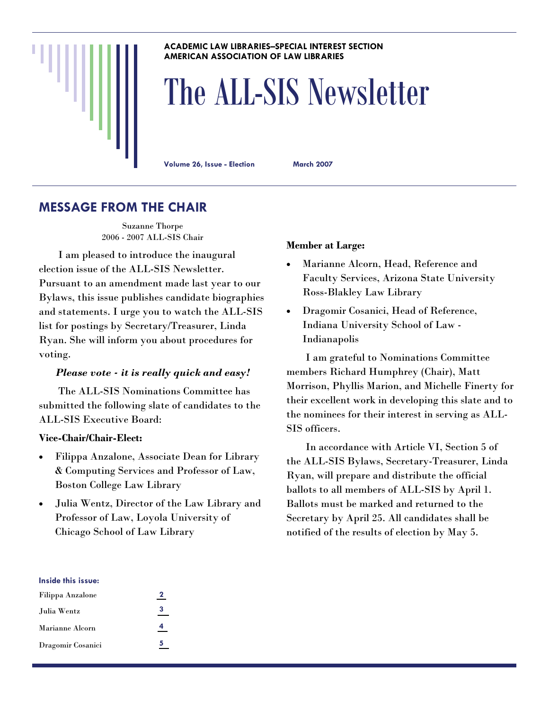#### **ACADEMIC LAW LIBRARIES–SPECIAL INTEREST SECTION AMERICAN ASSOCIATION OF LAW LIBRARIES**

# The ALL-SIS Newsletter

**Volume 26, Issue - Election March 2007** 

# **MESSAGE FROM THE CHAIR**

Suzanne Thorpe 2006 - 2007 ALL-SIS Chair

 I am pleased to introduce the inaugural election issue of the ALL-SIS Newsletter. Pursuant to an amendment made last year to our Bylaws, this issue publishes candidate biographies and statements. I urge you to watch the ALL-SIS list for postings by Secretary/Treasurer, Linda Ryan. She will inform you about procedures for voting.

### *Please vote - it is really quick and easy!*

 The ALL-SIS Nominations Committee has submitted the following slate of candidates to the ALL-SIS Executive Board:

#### **Vice-Chair/Chair-Elect:**

- Filippa Anzalone, Associate Dean for Library & Computing Services and Professor of Law, Boston College Law Library
- Julia Wentz, Director of the Law Library and Professor of Law, Loyola University of Chicago School of Law Library

#### **Member at Large:**

- Marianne Alcorn, Head, Reference and Faculty Services, Arizona State University Ross-Blakley Law Library
- Dragomir Cosanici, Head of Reference, Indiana University School of Law - Indianapolis

 I am grateful to Nominations Committee members Richard Humphrey (Chair), Matt Morrison, Phyllis Marion, and Michelle Finerty for their excellent work in developing this slate and to the nominees for their interest in serving as ALL-SIS officers.

 In accordance with Article VI, Section 5 of the ALL-SIS Bylaws, Secretary-Treasurer, Linda Ryan, will prepare and distribute the official ballots to all members of ALL-SIS by April 1. Ballots must be marked and returned to the Secretary by April 25. All candidates shall be notified of the results of election by May 5.

#### **Inside this issue:**

| Filippa Anzalone  | 2 |
|-------------------|---|
| Julia Wentz       | з |
| Marianne Alcorn   | Δ |
| Dragomir Cosanici | 5 |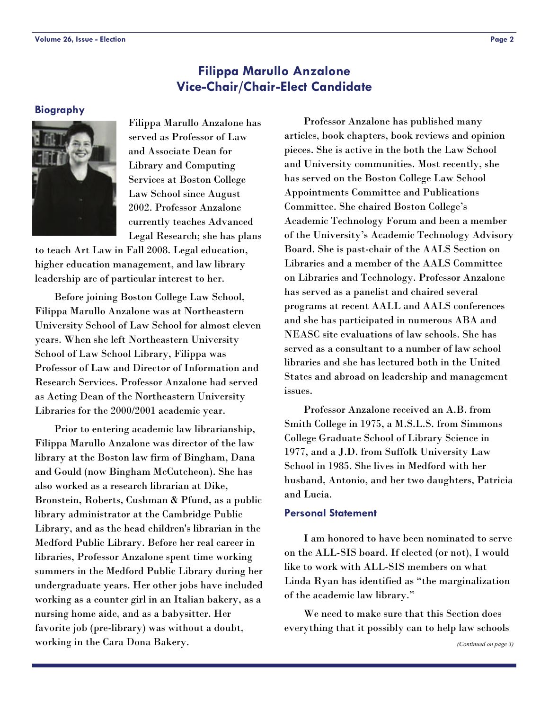# **Filippa Marullo Anzalone Vice-Chair/Chair-Elect Candidate**

#### <span id="page-1-0"></span>**Biography**



Filippa Marullo Anzalone has served as Professor of Law and Associate Dean for Library and Computing Services at Boston College Law School since August 2002. Professor Anzalone currently teaches Advanced Legal Research; she has plans

to teach Art Law in Fall 2008. Legal education, higher education management, and law library leadership are of particular interest to her.

 Before joining Boston College Law School, Filippa Marullo Anzalone was at Northeastern University School of Law School for almost eleven years. When she left Northeastern University School of Law School Library, Filippa was Professor of Law and Director of Information and Research Services. Professor Anzalone had served as Acting Dean of the Northeastern University Libraries for the 2000/2001 academic year.

 Prior to entering academic law librarianship, Filippa Marullo Anzalone was director of the law library at the Boston law firm of Bingham, Dana and Gould (now Bingham McCutcheon). She has also worked as a research librarian at Dike, Bronstein, Roberts, Cushman & Pfund, as a public library administrator at the Cambridge Public Library, and as the head children's librarian in the Medford Public Library. Before her real career in libraries, Professor Anzalone spent time working summers in the Medford Public Library during her undergraduate years. Her other jobs have included working as a counter girl in an Italian bakery, as a nursing home aide, and as a babysitter. Her favorite job (pre-library) was without a doubt, working in the Cara Dona Bakery.

 Professor Anzalone has published many articles, book chapters, book reviews and opinion pieces. She is active in the both the Law School and University communities. Most recently, she has served on the Boston College Law School Appointments Committee and Publications Committee. She chaired Boston College's Academic Technology Forum and been a member of the University's Academic Technology Advisory Board. She is past-chair of the AALS Section on Libraries and a member of the AALS Committee on Libraries and Technology. Professor Anzalone has served as a panelist and chaired several programs at recent AALL and AALS conferences and she has participated in numerous ABA and NEASC site evaluations of law schools. She has served as a consultant to a number of law school libraries and she has lectured both in the United States and abroad on leadership and management issues.

 Professor Anzalone received an A.B. from Smith College in 1975, a M.S.L.S. from Simmons College Graduate School of Library Science in 1977, and a J.D. from Suffolk University Law School in 1985. She lives in Medford with her husband, Antonio, and her two daughters, Patricia and Lucia.

#### **Personal Statement**

 I am honored to have been nominated to serve on the ALL-SIS board. If elected (or not), I would like to work with ALL-SIS members on what Linda Ryan has identified as "the marginalization of the academic law library."

 We need to make sure that this Section does everything that it possibly can to help law schools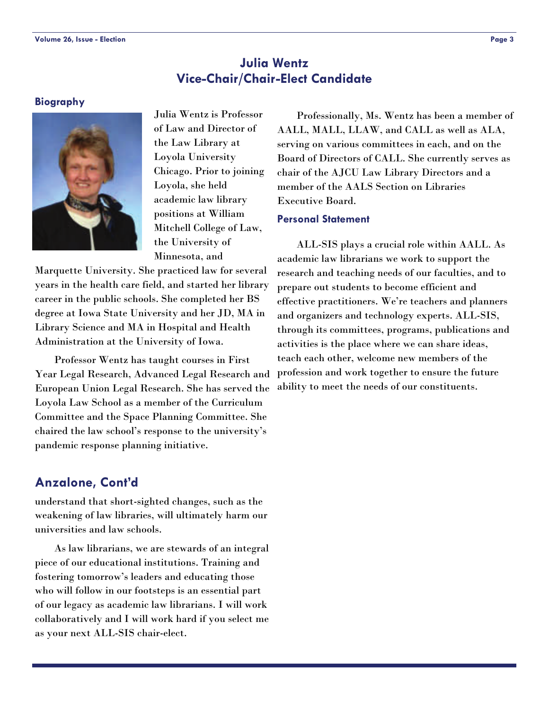# **Julia Wentz Vice-Chair/Chair-Elect Candidate**

#### <span id="page-2-0"></span>**Biography**



Julia Wentz is Professor of Law and Director of the Law Library at Loyola University Chicago. Prior to joining Loyola, she held academic law library positions at William Mitchell College of Law, the University of Minnesota, and

Marquette University. She practiced law for several years in the health care field, and started her library career in the public schools. She completed her BS degree at Iowa State University and her JD, MA in Library Science and MA in Hospital and Health Administration at the University of Iowa.

 Professor Wentz has taught courses in First Year Legal Research, Advanced Legal Research and European Union Legal Research. She has served the Loyola Law School as a member of the Curriculum Committee and the Space Planning Committee. She chaired the law school's response to the university's pandemic response planning initiative.

# **Anzalone, Cont'd**

understand that short-sighted changes, such as the weakening of law libraries, will ultimately harm our universities and law schools.

 As law librarians, we are stewards of an integral piece of our educational institutions. Training and fostering tomorrow's leaders and educating those who will follow in our footsteps is an essential part of our legacy as academic law librarians. I will work collaboratively and I will work hard if you select me as your next ALL-SIS chair-elect.

 Professionally, Ms. Wentz has been a member of AALL, MALL, LLAW, and CALL as well as ALA, serving on various committees in each, and on the Board of Directors of CALL. She currently serves as chair of the AJCU Law Library Directors and a member of the AALS Section on Libraries Executive Board.

#### **Personal Statement**

 ALL-SIS plays a crucial role within AALL. As academic law librarians we work to support the research and teaching needs of our faculties, and to prepare out students to become efficient and effective practitioners. We're teachers and planners and organizers and technology experts. ALL-SIS, through its committees, programs, publications and activities is the place where we can share ideas, teach each other, welcome new members of the profession and work together to ensure the future ability to meet the needs of our constituents.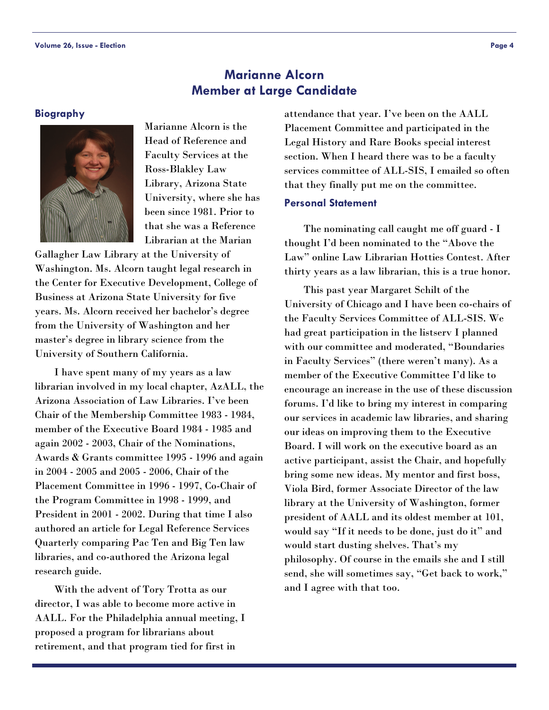# **Marianne Alcorn Member at Large Candidate**

#### <span id="page-3-0"></span>**Biography**



Marianne Alcorn is the Head of Reference and Faculty Services at the Ross-Blakley Law Library, Arizona State University, where she has been since 1981. Prior to that she was a Reference Librarian at the Marian

Gallagher Law Library at the University of Washington. Ms. Alcorn taught legal research in the Center for Executive Development, College of Business at Arizona State University for five years. Ms. Alcorn received her bachelor's degree from the University of Washington and her master's degree in library science from the University of Southern California.

 I have spent many of my years as a law librarian involved in my local chapter, AzALL, the Arizona Association of Law Libraries. I've been Chair of the Membership Committee 1983 - 1984, member of the Executive Board 1984 - 1985 and again 2002 - 2003, Chair of the Nominations, Awards & Grants committee 1995 - 1996 and again in 2004 - 2005 and 2005 - 2006, Chair of the Placement Committee in 1996 - 1997, Co-Chair of the Program Committee in 1998 - 1999, and President in 2001 - 2002. During that time I also authored an article for Legal Reference Services Quarterly comparing Pac Ten and Big Ten law libraries, and co-authored the Arizona legal research guide.

 With the advent of Tory Trotta as our director, I was able to become more active in AALL. For the Philadelphia annual meeting, I proposed a program for librarians about retirement, and that program tied for first in

attendance that year. I've been on the AALL Placement Committee and participated in the Legal History and Rare Books special interest section. When I heard there was to be a faculty services committee of ALL-SIS, I emailed so often that they finally put me on the committee.

#### **Personal Statement**

 The nominating call caught me off guard - I thought I'd been nominated to the "Above the Law" online Law Librarian Hotties Contest. After thirty years as a law librarian, this is a true honor.

 This past year Margaret Schilt of the University of Chicago and I have been co-chairs of the Faculty Services Committee of ALL-SIS. We had great participation in the listserv I planned with our committee and moderated, "Boundaries in Faculty Services" (there weren't many). As a member of the Executive Committee I'd like to encourage an increase in the use of these discussion forums. I'd like to bring my interest in comparing our services in academic law libraries, and sharing our ideas on improving them to the Executive Board. I will work on the executive board as an active participant, assist the Chair, and hopefully bring some new ideas. My mentor and first boss, Viola Bird, former Associate Director of the law library at the University of Washington, former president of AALL and its oldest member at 101, would say "If it needs to be done, just do it" and would start dusting shelves. That's my philosophy. Of course in the emails she and I still send, she will sometimes say, "Get back to work," and I agree with that too.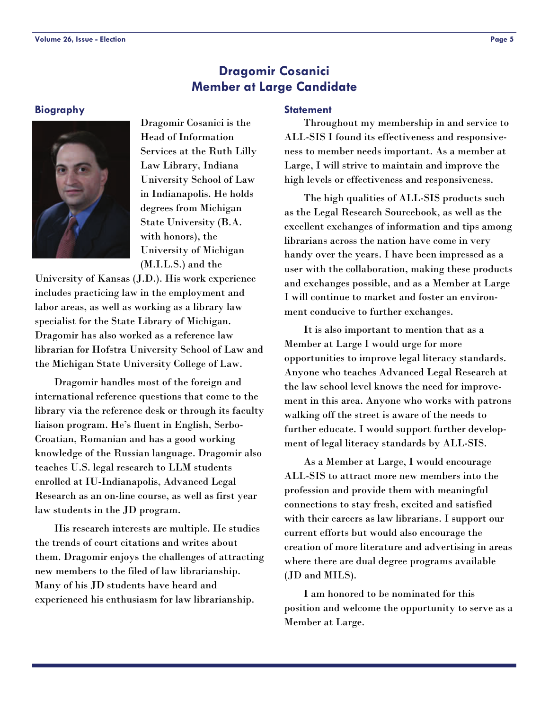# **Dragomir Cosanici Member at Large Candidate**

#### <span id="page-4-0"></span>**Biography**



Dragomir Cosanici is the Head of Information Services at the Ruth Lilly Law Library, Indiana University School of Law in Indianapolis. He holds degrees from Michigan State University (B.A. with honors), the University of Michigan (M.I.L.S.) and the

University of Kansas (J.D.). His work experience includes practicing law in the employment and labor areas, as well as working as a library law specialist for the State Library of Michigan. Dragomir has also worked as a reference law librarian for Hofstra University School of Law and the Michigan State University College of Law.

 Dragomir handles most of the foreign and international reference questions that come to the library via the reference desk or through its faculty liaison program. He's fluent in English, Serbo-Croatian, Romanian and has a good working knowledge of the Russian language. Dragomir also teaches U.S. legal research to LLM students enrolled at IU-Indianapolis, Advanced Legal Research as an on-line course, as well as first year law students in the JD program.

 His research interests are multiple. He studies the trends of court citations and writes about them. Dragomir enjoys the challenges of attracting new members to the filed of law librarianship. Many of his JD students have heard and experienced his enthusiasm for law librarianship.

#### **Statement**

 Throughout my membership in and service to ALL-SIS I found its effectiveness and responsiveness to member needs important. As a member at Large, I will strive to maintain and improve the high levels or effectiveness and responsiveness.

 The high qualities of ALL-SIS products such as the Legal Research Sourcebook, as well as the excellent exchanges of information and tips among librarians across the nation have come in very handy over the years. I have been impressed as a user with the collaboration, making these products and exchanges possible, and as a Member at Large I will continue to market and foster an environment conducive to further exchanges.

 It is also important to mention that as a Member at Large I would urge for more opportunities to improve legal literacy standards. Anyone who teaches Advanced Legal Research at the law school level knows the need for improvement in this area. Anyone who works with patrons walking off the street is aware of the needs to further educate. I would support further development of legal literacy standards by ALL-SIS.

 As a Member at Large, I would encourage ALL-SIS to attract more new members into the profession and provide them with meaningful connections to stay fresh, excited and satisfied with their careers as law librarians. I support our current efforts but would also encourage the creation of more literature and advertising in areas where there are dual degree programs available (JD and MILS).

 I am honored to be nominated for this position and welcome the opportunity to serve as a Member at Large.